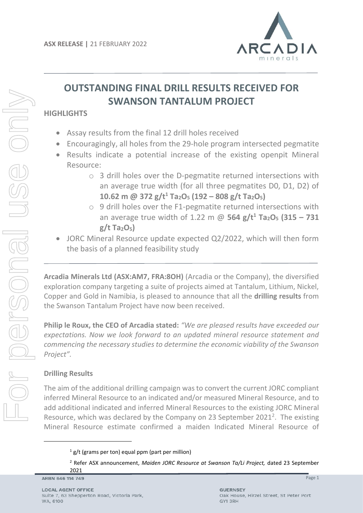

# **OUTSTANDING FINAL DRILL RESULTS RECEIVED FOR SWANSON TANTALUM PROJECT**

# **HIGHLIGHTS**

- Assay results from the final 12 drill holes received
- Encouragingly, all holes from the 29-hole program intersected pegmatite
- Results indicate a potential increase of the existing openpit Mineral Resource:
	- o 3 drill holes over the D-pegmatite returned intersections with an average true width (for all three pegmatites D0, D1, D2) of **10.62 m @ 372 g/t<sup>1</sup> Ta2O<sup>5</sup> (192 – 808 g/t Ta2O5)**
	- o 9 drill holes over the F1-pegmatite returned intersections with an average true width of 1.22 m @ **564 g/t<sup>1</sup> Ta2O<sup>5</sup> (315 – 731 g/t Ta2O5)**
- JORC Mineral Resource update expected Q2/2022, which will then form the basis of a planned feasibility study

**Arcadia Minerals Ltd (ASX:AM7, FRA:8OH)** (Arcadia or the Company), the diversified exploration company targeting a suite of projects aimed at Tantalum, Lithium, Nickel, Copper and Gold in Namibia, is pleased to announce that all the **drilling results** from the Swanson Tantalum Project have now been received.

**Philip le Roux, the CEO of Arcadia stated:** *"We are pleased results have exceeded our expectations. Now we look forward to an updated mineral resource statement and commencing the necessary studies to determine the economic viability of the Swanson Project".* 

# **Drilling Results**

The aim of the additional drilling campaign was to convert the current JORC compliant inferred Mineral Resource to an indicated and/or measured Mineral Resource, and to add additional indicated and inferred Mineral Resources to the existing JORC Mineral Resource, which was declared by the Company on 23 September 2021<sup>2</sup>. The existing Mineral Resource estimate confirmed a maiden Indicated Mineral Resource of

 $1$  g/t (grams per ton) equal ppm (part per million)

<sup>2</sup> Refer ASX announcement, *Maiden JORC Resource at Swanson Ta/Li Project,* dated 23 September 2021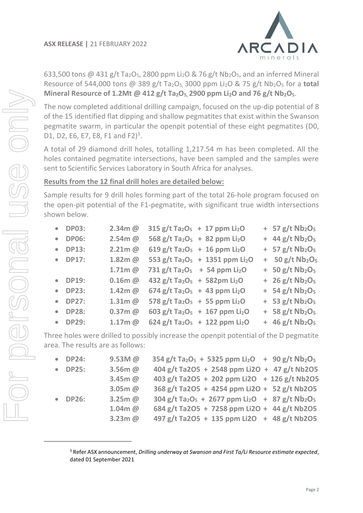

633,500 tons @ 431 g/t Ta<sub>2</sub>O<sub>5</sub>, 2800 ppm Li<sub>2</sub>O & 76 g/t Nb<sub>2</sub>O<sub>5</sub>, and an inferred Mineral Resource of 544,000 tons @ 389 g/t Ta2O5, 3000 ppm Li2O & 75 g/t Nb2O<sup>5</sup> for a **total Mineral Resource of 1.2Mt @ 412 g/t Ta2O5, 2900 ppm Li2O and 76 g/t Nb2O5**.

The now completed additional drilling campaign, focused on the up-dip potential of 8 of the 15 identified flat dipping and shallow pegmatites that exist within the Swanson pegmatite swarm, in particular the openpit potential of these eight pegmatites (D0, D1, D2, E6, E7, E8, F1 and F2)<sup>3</sup>.

A total of 29 diamond drill holes, totalling 1,217.54 m has been completed. All the holes contained pegmatite intersections, have been sampled and the samples were sent to Scientific Services Laboratory in South Africa for analyses.

# **Results from the 12 final drill holes are detailed below:**

Sample results for 9 drill holes forming part of the total 26-hole program focused on the open-pit potential of the F1-pegmatite, with significant true width intersections shown below.

| • DP03: | $2.34m$ @ | $315 g/t$ Ta <sub>2</sub> O <sub>5</sub> + 17 ppm Li <sub>2</sub> O | $+ 57 g/t Nb2O5$                          |
|---------|-----------|---------------------------------------------------------------------|-------------------------------------------|
| • DP06: | $2.54m$ @ | 568 g/t Ta <sub>2</sub> O <sub>5</sub> + 82 ppm Li <sub>2</sub> O   | $+ 44 g/t Nb2O5$                          |
| • DP13: | $2.21m$ @ | $619 g/t$ Ta <sub>2</sub> O <sub>5</sub> + 16 ppm Li <sub>2</sub> O | $+ 57 g/t Nb2O5$                          |
| • DP17: | 1.82m@    | 553 g/t Ta <sub>2</sub> O <sub>5</sub> + 1351 ppm Li <sub>2</sub> O | $+ 50 g/t Nb2O5$                          |
|         | $1.71m$ @ | 731 g/t Ta <sub>2</sub> O <sub>5</sub> + 54 ppm Li <sub>2</sub> O   | $+ 50 g/t Nb2O5$                          |
| • DP19: | $0.16m$ @ | $432$ g/t Ta <sub>2</sub> O <sub>5</sub> + 582pm Li <sub>2</sub> O  | $+ 26 g/t Nb2O5$                          |
| • DP23: | 1.42m@    | $674$ g/t Ta <sub>2</sub> O <sub>5</sub> + 43 ppm Li <sub>2</sub> O | $+ 54 g/t Nb2O5$                          |
| • DP27: | $1.31m$ @ | 578 g/t Ta <sub>2</sub> O <sub>5</sub> + 55 ppm Li <sub>2</sub> O   | $+$ 53 g/t Nb <sub>2</sub> O <sub>5</sub> |
| • DP28: | $0.37m$ @ | 603 g/t Ta <sub>2</sub> O <sub>5</sub> + 167 ppm Li <sub>2</sub> O  | $+$ 58 g/t Nb <sub>2</sub> O <sub>5</sub> |
| • DP29: | $1.17m$ @ | 624 g/t Ta <sub>2</sub> O <sub>5</sub> + 122 ppm Li <sub>2</sub> O  | $+$ 46 g/t Nb <sub>2</sub> O <sub>5</sub> |

Three holes were drilled to possibly increase the openpit potential of the D pegmatite area. The results are as follows:

| • DP24: | $9.53M$ @  | $354$ g/t Ta <sub>2</sub> O <sub>5</sub> + 5325 ppm Li <sub>2</sub> O + 90 g/t Nb <sub>2</sub> O <sub>5</sub> |
|---------|------------|---------------------------------------------------------------------------------------------------------------|
| • DP25: | $3.56m$ @  | 404 g/t Ta2O5 + 2548 ppm Li2O + 47 g/t Nb2O5                                                                  |
|         | 3.45 $m$ @ | 403 g/t Ta2O5 + 202 ppm Li2O + 126 g/t Nb2O5                                                                  |
|         | $3.05m$ @  | 368 g/t Ta2O5 + 4254 ppm Li2O + 52 g/t Nb2O5                                                                  |
| • DP26: | $3.25m$ @  | $304$ g/t Ta <sub>2</sub> O <sub>5</sub> + 2677 ppm Li <sub>2</sub> O + 87 g/t Nb <sub>2</sub> O <sub>5</sub> |
|         | $1.04m$ @  | 684 g/t Ta2O5 + 7258 ppm Li2O + 44 g/t Nb2O5                                                                  |
|         | $3.23m$ @  | 497 g/t Ta2O5 + 135 ppm Li2O + 48 g/t Nb2O5                                                                   |

<sup>3</sup> Refer ASX announcement, *Drilling underway at Swanson and First Ta/Li Resource estimate expected*, dated 01 September 2021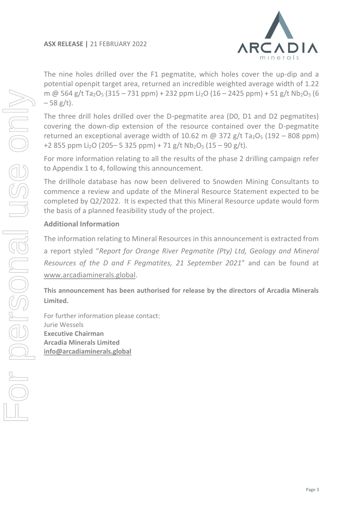

The nine holes drilled over the F1 pegmatite, which holes cover the up-dip and a potential openpit target area, returned an incredible weighted average width of 1.22 m @ 564 g/t Ta<sub>2</sub>O<sub>5</sub> (315 – 731 ppm) + 232 ppm Li<sub>2</sub>O (16 – 2425 ppm) + 51 g/t Nb<sub>2</sub>O<sub>5</sub> (6  $-58$  g/t).

The three drill holes drilled over the D-pegmatite area (D0, D1 and D2 pegmatites) covering the down-dip extension of the resource contained over the D-pegmatite returned an exceptional average width of 10.62 m  $\omega$  372 g/t Ta<sub>2</sub>O<sub>5</sub> (192 – 808 ppm) +2 855 ppm Li<sub>2</sub>O (205– 5 325 ppm) + 71 g/t Nb<sub>2</sub>O<sub>5</sub> (15 – 90 g/t).

For more information relating to all the results of the phase 2 drilling campaign refer to Appendix 1 to 4, following this announcement.

The drillhole database has now been delivered to Snowden Mining Consultants to commence a review and update of the Mineral Resource Statement expected to be completed by Q2/2022. It is expected that this Mineral Resource update would form the basis of a planned feasibility study of the project.

# **Additional Information**

The information relating to Mineral Resources in this announcement is extracted from a report styled "*Report for Orange River Pegmatite (Pty) Ltd, Geology and Mineral Resources of the D and F Pegmatites, 21 September 2021*" and can be found at [www.arcadiaminerals.global.](http://www.arcadiaminerals.global/)

**This announcement has been authorised for release by the directors of Arcadia Minerals Limited.**

For further information please contact: Jurie Wessels **Executive Chairman Arcadia Minerals Limited [info@arcadiaminerals.global](mailto:info@arcadiaminerals.global)**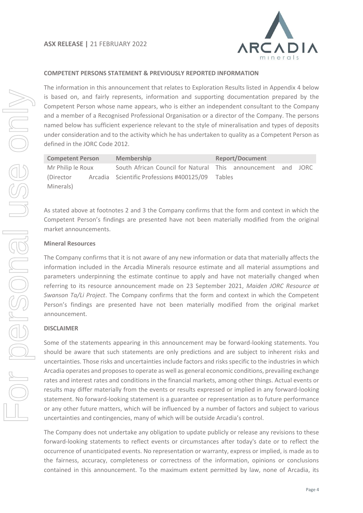

## **COMPETENT PERSONS STATEMENT & PREVIOUSLY REPORTED INFORMATION**

The information in this announcement that relates to Exploration Results listed in Appendix 4 below is based on, and fairly represents, information and supporting documentation prepared by the Competent Person whose name appears, who is either an independent consultant to the Company and a member of a Recognised Professional Organisation or a director of the Company. The persons named below has sufficient experience relevant to the style of mineralisation and types of deposits under consideration and to the activity which he has undertaken to quality as a Competent Person as defined in the JORC Code 2012.

| <b>Competent Person</b> | <b>Membership</b>                                            | <b>Report/Document</b> |  |  |  |  |  |
|-------------------------|--------------------------------------------------------------|------------------------|--|--|--|--|--|
| Mr Philip le Roux       | South African Council for Natural This announcement and JORC |                        |  |  |  |  |  |
| (Director)              | Arcadia Scientific Professions #400125/09 Tables             |                        |  |  |  |  |  |
| Minerals)               |                                                              |                        |  |  |  |  |  |

As stated above at footnotes 2 and 3 the Company confirms that the form and context in which the Competent Person's findings are presented have not been materially modified from the original market announcements.

### **Mineral Resources**

The Company confirms that it is not aware of any new information or data that materially affects the information included in the Arcadia Minerals resource estimate and all material assumptions and parameters underpinning the estimate continue to apply and have not materially changed when referring to its resource announcement made on 23 September 2021, *Maiden JORC Resource at Swanson Ta/Li Project*. The Company confirms that the form and context in which the Competent Person's findings are presented have not been materially modified from the original market announcement.

#### **DISCLAIMER**

Some of the statements appearing in this announcement may be forward-looking statements. You should be aware that such statements are only predictions and are subject to inherent risks and uncertainties. Those risks and uncertainties include factors and risks specific to the industries in which Arcadia operates and proposes to operate as well as general economic conditions, prevailing exchange rates and interest rates and conditions in the financial markets, among other things. Actual events or results may differ materially from the events or results expressed or implied in any forward-looking statement. No forward-looking statement is a guarantee or representation as to future performance or any other future matters, which will be influenced by a number of factors and subject to various uncertainties and contingencies, many of which will be outside Arcadia's control.

The Company does not undertake any obligation to update publicly or release any revisions to these forward-looking statements to reflect events or circumstances after today's date or to reflect the occurrence of unanticipated events. No representation or warranty, express or implied, is made as to the fairness, accuracy, completeness or correctness of the information, opinions or conclusions contained in this announcement. To the maximum extent permitted by law, none of Arcadia, its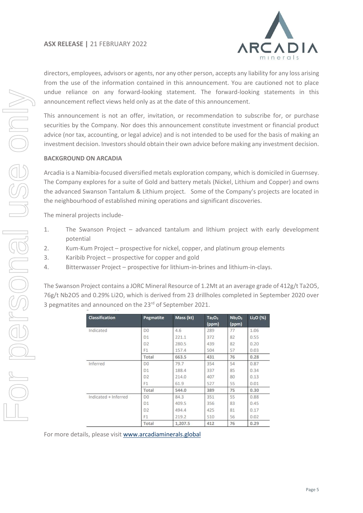

directors, employees, advisors or agents, nor any other person, accepts any liability for any loss arising from the use of the information contained in this announcement. You are cautioned not to place undue reliance on any forward-looking statement. The forward-looking statements in this announcement reflect views held only as at the date of this announcement.

This announcement is not an offer, invitation, or recommendation to subscribe for, or purchase securities by the Company. Nor does this announcement constitute investment or financial product advice (nor tax, accounting, or legal advice) and is not intended to be used for the basis of making an investment decision. Investors should obtain their own advice before making any investment decision.

## **BACKGROUND ON ARCADIA**

Arcadia is a Namibia-focused diversified metals exploration company, which is domiciled in Guernsey. The Company explores for a suite of Gold and battery metals (Nickel, Lithium and Copper) and owns the advanced Swanson Tantalum & Lithium project. Some of the Company's projects are located in the neighbourhood of established mining operations and significant discoveries.

The mineral projects include-

- 1. The Swanson Project advanced tantalum and lithium project with early development potential
- 2. Kum-Kum Project prospective for nickel, copper, and platinum group elements
- 3. Karibib Project prospective for copper and gold
- 4. Bitterwasser Project prospective for lithium-in-brines and lithium-in-clays.

The Swanson Project contains a JORC Mineral Resource of 1.2Mt at an average grade of 412g/t Ta2O5, 76g/t Nb2O5 and 0.29% Li2O, which is derived from 23 drillholes completed in September 2020 over 3 pegmatites and announced on the 23rd of September 2021.

| <b>Classification</b> | Pegmatite      | Mass (kt) | Ta <sub>2</sub> O <sub>5</sub><br>(ppm) | Nb <sub>2</sub> O <sub>5</sub><br>(ppm) | $Li2O$ (%) |
|-----------------------|----------------|-----------|-----------------------------------------|-----------------------------------------|------------|
| Indicated             | D <sub>0</sub> | 4.6       | 289                                     | 77                                      | 1.06       |
|                       | D <sub>1</sub> | 221.1     | 372                                     | 82                                      | 0.55       |
|                       | D <sub>2</sub> | 280.5     | 439                                     | 82                                      | 0.20       |
|                       | F <sub>1</sub> | 157.4     | 504                                     | 57                                      | 0.03       |
|                       | Total          | 663.5     | 431                                     | 76                                      | 0.28       |
| Inferred              | D <sub>0</sub> | 79.7      | 354                                     | 54                                      | 0.87       |
|                       | D <sub>1</sub> | 188.4     | 337                                     | 85                                      | 0.34       |
|                       | D <sub>2</sub> | 214.0     | 407                                     | 80                                      | 0.13       |
|                       | F <sub>1</sub> | 61.9      | 527                                     | 55                                      | 0.01       |
|                       | Total          | 544.0     | 389                                     | 75                                      | 0.30       |
| Indicated + Inferred  | D <sub>0</sub> | 84.3      | 351                                     | 55                                      | 0.88       |
|                       | D <sub>1</sub> | 409.5     | 356                                     | 83                                      | 0.45       |
|                       | D <sub>2</sub> | 494.4     | 425                                     | 81                                      | 0.17       |
|                       | F1             | 219.2     | 510                                     | 56                                      | 0.02       |
|                       | Total          | 1.207.5   | 412                                     | 76                                      | 0.29       |

For more details, please visit [www.arcadiaminerals.global](http://www.arcadiaminerals.global/)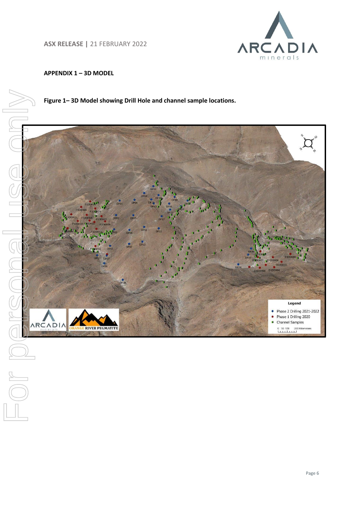**ASX RELEASE |** 21 FEBRUARY 2022

**RIVER PEGMATITE** 



## **APPENDIX 1 – 3D MODEL**



**Figure 1– 3D Model showing Drill Hole and channel sample locations.** 

Legend Phase 2 Drilling 2021-2022 • Phase 1 Drilling 2020 Channel Samples

0 50 100 200 Kilomete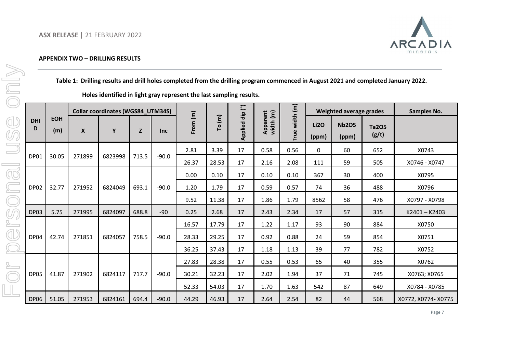

### **APPENDIX TWO – DRILLING RESULTS**

|    |                                                                     |                   |                  |                                          |       |            |          |        |                 |                       |                |                      |                         |                | Table 1: Drilling results and drill holes completed from the drilling program commenced in August 2021 and completed January 2022. |
|----|---------------------------------------------------------------------|-------------------|------------------|------------------------------------------|-------|------------|----------|--------|-----------------|-----------------------|----------------|----------------------|-------------------------|----------------|------------------------------------------------------------------------------------------------------------------------------------|
|    | Holes identified in light gray represent the last sampling results. |                   |                  |                                          |       |            |          |        |                 |                       |                |                      |                         |                |                                                                                                                                    |
|    |                                                                     |                   |                  | <b>Collar coordinates (WGS84_UTM34S)</b> |       |            |          |        |                 |                       |                |                      | Weighted average grades |                | <b>Samples No.</b>                                                                                                                 |
|    | <b>DHI</b><br>D                                                     | <b>EOH</b><br>(m) | $\boldsymbol{X}$ | Υ                                        | Z     | <b>Inc</b> | From (m) | To (m) | Applied dip (°) | Apparent<br>width (m) | True width (m) | <b>Li2O</b><br>(ppm) | <b>Nb2O5</b><br>(ppm)   | Ta205<br>(g/t) |                                                                                                                                    |
|    |                                                                     |                   |                  |                                          |       |            | 2.81     | 3.39   | 17              | 0.58                  | 0.56           | 0                    | 60                      | 652            | X0743                                                                                                                              |
|    | <b>DP01</b>                                                         | 30.05             | 271899           | 6823998                                  | 713.5 | $-90.0$    | 26.37    | 28.53  | 17              | 2.16                  | 2.08           | 111                  | 59                      | 505            | X0746 - X0747                                                                                                                      |
| Œ  |                                                                     |                   |                  |                                          |       |            | 0.00     | 0.10   | 17              | 0.10                  | 0.10           | 367                  | 30                      | 400            | X0795                                                                                                                              |
|    | DP02                                                                | 32.77             | 271952           | 6824049                                  | 693.1 | $-90.0$    | 1.20     | 1.79   | 17              | 0.59                  | 0.57           | 74                   | 36                      | 488            | X0796                                                                                                                              |
|    |                                                                     |                   |                  |                                          |       |            | 9.52     | 11.38  | 17              | 1.86                  | 1.79           | 8562                 | 58                      | 476            | X0797 - X0798                                                                                                                      |
| ØQ | DP03                                                                | 5.75              | 271995           | 6824097                                  | 688.8 | $-90$      | 0.25     | 2.68   | 17              | 2.43                  | 2.34           | 17                   | 57                      | 315            | K2401-K2403                                                                                                                        |
|    |                                                                     |                   |                  |                                          |       |            | 16.57    | 17.79  | 17              | 1.22                  | 1.17           | 93                   | 90                      | 884            | X0750                                                                                                                              |
| ď  | DP04                                                                | 42.74             | 271851           | 6824057                                  | 758.5 | $-90.0$    | 28.33    | 29.25  | 17              | 0.92                  | 0.88           | 24                   | 59                      | 854            | X0751                                                                                                                              |
|    |                                                                     |                   |                  |                                          |       |            | 36.25    | 37.43  | 17              | 1.18                  | 1.13           | 39                   | 77                      | 782            | X0752                                                                                                                              |
|    |                                                                     |                   |                  |                                          |       |            | 27.83    | 28.38  | 17              | 0.55                  | 0.53           | 65                   | 40                      | 355            | X0762                                                                                                                              |
|    | DP05                                                                | 41.87             | 271902           | 6824117                                  | 717.7 | $-90.0$    | 30.21    | 32.23  | 17              | 2.02                  | 1.94           | 37                   | 71                      | 745            | X0763; X0765                                                                                                                       |
|    |                                                                     |                   |                  |                                          |       |            | 52.33    | 54.03  | 17              | 1.70                  | 1.63           | 542                  | 87                      | 649            | X0784 - X0785                                                                                                                      |
|    | <b>DP06</b>                                                         | 51.05             | 271953           | 6824161                                  | 694.4 | $-90.0$    | 44.29    | 46.93  | 17              | 2.64                  | 2.54           | 82                   | 44                      | 568            | X0772, X0774- X0775                                                                                                                |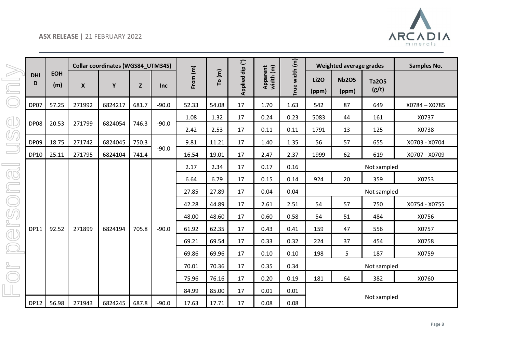

|                 |                   |                  | <b>Collar coordinates (WGS84_UTM34S)</b> |       |            |          |        |                 |                       |                |                      | Weighted average grades |                       | Samples No.   |
|-----------------|-------------------|------------------|------------------------------------------|-------|------------|----------|--------|-----------------|-----------------------|----------------|----------------------|-------------------------|-----------------------|---------------|
| <b>DHI</b><br>D | <b>EOH</b><br>(m) | $\boldsymbol{x}$ | Y                                        | Z     | <b>Inc</b> | From (m) | To (m) | Applied dip (°) | Apparent<br>width (m) | True width (m) | <b>Li2O</b><br>(ppm) | <b>Nb2O5</b><br>(ppm)   | <b>Ta2O5</b><br>(g/t) |               |
| DP07            | 57.25             | 271992           | 6824217                                  | 681.7 | $-90.0$    | 52.33    | 54.08  | 17              | 1.70                  | 1.63           | 542                  | 87                      | 649                   | X0784 - X0785 |
|                 |                   |                  |                                          |       |            | 1.08     | 1.32   | 17              | 0.24                  | 0.23           | 5083                 | 44                      | 161                   | X0737         |
| DP08            | 20.53             | 271799           | 6824054                                  | 746.3 | $-90.0$    | 2.42     | 2.53   | 17              | 0.11                  | 0.11           | 1791                 | 13                      | 125                   | X0738         |
| <b>DP09</b>     | 18.75             | 271742           | 6824045                                  | 750.3 |            | 9.81     | 11.21  | 17              | 1.40                  | 1.35           | 56                   | 57                      | 655                   | X0703 - X0704 |
| <b>DP10</b>     | 25.11             | 271795           | 6824104                                  | 741.4 | $-90.0$    | 16.54    | 19.01  | 17              | 2.47                  | 2.37           | 1999                 | 62                      | 619                   | X0707 - X0709 |
|                 |                   |                  |                                          |       |            | 2.17     | 2.34   | 17              | 0.17                  | 0.16           |                      |                         | Not sampled           |               |
|                 |                   |                  |                                          |       |            | 6.64     | 6.79   | 17              | 0.15                  | 0.14           | 924                  | 20                      | 359                   | X0753         |
|                 |                   |                  |                                          |       |            | 27.85    | 27.89  | 17              | 0.04                  | 0.04           |                      |                         | Not sampled           |               |
|                 |                   |                  |                                          |       |            | 42.28    | 44.89  | 17              | 2.61                  | 2.51           | 54                   | 57                      | 750                   | X0754 - X0755 |
|                 |                   |                  |                                          |       |            | 48.00    | 48.60  | 17              | 0.60                  | 0.58           | 54                   | 51                      | 484                   | X0756         |
| <b>DP11</b>     | 92.52             | 271899           | 6824194                                  | 705.8 | $-90.0$    | 61.92    | 62.35  | 17              | 0.43                  | 0.41           | 159                  | 47                      | 556                   | X0757         |
|                 |                   |                  |                                          |       |            | 69.21    | 69.54  | 17              | 0.33                  | 0.32           | 224                  | 37                      | 454                   | X0758         |
|                 |                   |                  |                                          |       |            | 69.86    | 69.96  | 17              | 0.10                  | 0.10           | 198                  | 5                       | 187                   | X0759         |
|                 |                   |                  |                                          |       |            | 70.01    | 70.36  | 17              | 0.35                  | 0.34           |                      |                         | Not sampled           |               |
|                 |                   |                  |                                          |       |            | 75.96    | 76.16  | 17              | 0.20                  | 0.19           | 181                  | 64                      | 382                   | X0760         |
|                 |                   |                  |                                          |       |            | 84.99    | 85.00  | 17              | 0.01                  | 0.01           |                      |                         |                       |               |
| <b>DP12</b>     | 56.98             | 271943           | 6824245                                  | 687.8 | $-90.0$    | 17.63    | 17.71  | 17              | 0.08                  | 0.08           |                      |                         | Not sampled           |               |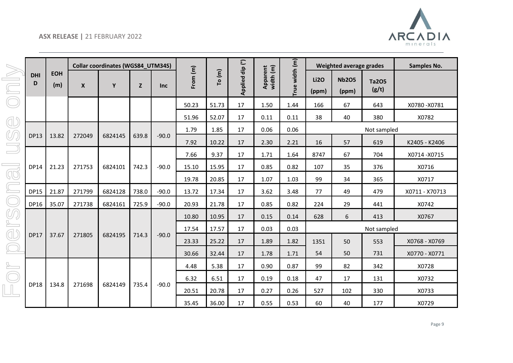

|                       |                 |                   |                  | <b>Collar coordinates (WGS84 UTM34S)</b> |       |            |          |        |                 |                       |                | Weighted average grades |                       |                       | <b>Samples No.</b> |
|-----------------------|-----------------|-------------------|------------------|------------------------------------------|-------|------------|----------|--------|-----------------|-----------------------|----------------|-------------------------|-----------------------|-----------------------|--------------------|
| $\boxed{\phantom{1}}$ | <b>DHI</b><br>D | <b>EOH</b><br>(m) | $\boldsymbol{X}$ | Y                                        | Z     | <b>Inc</b> | From (m) | To (m) | Applied dip (°) | Apparent<br>width (m) | True width (m) | <b>Li2O</b><br>(ppm)    | <b>Nb2O5</b><br>(ppm) | <b>Ta2O5</b><br>(g/t) |                    |
|                       |                 |                   |                  |                                          |       |            | 50.23    | 51.73  | 17              | 1.50                  | 1.44           | 166                     | 67                    | 643                   | X0780-X0781        |
| ď                     |                 |                   |                  |                                          |       |            | 51.96    | 52.07  | 17              | 0.11                  | 0.11           | 38                      | 40                    | 380                   | X0782              |
|                       |                 |                   |                  |                                          |       |            | 1.79     | 1.85   | 17              | 0.06                  | 0.06           |                         |                       | Not sampled           |                    |
| U,                    | <b>DP13</b>     | 13.82             | 272049           | 6824145                                  | 639.8 | $-90.0$    | 7.92     | 10.22  | 17              | 2.30                  | 2.21           | 16                      | 57                    | 619                   | K2405 - K2406      |
|                       |                 |                   |                  |                                          |       |            | 7.66     | 9.37   | 17              | 1.71                  | 1.64           | 8747                    | 67                    | 704                   | X0714-X0715        |
|                       | <b>DP14</b>     | 21.23             | 271753           | 6824101                                  | 742.3 | $-90.0$    | 15.10    | 15.95  | 17              | 0.85                  | 0.82           | 107                     | 35                    | 376                   | X0716              |
| $\bigcirc$            |                 |                   |                  |                                          |       |            | 19.78    | 20.85  | 17              | 1.07                  | 1.03           | 99                      | 34                    | 365                   | X0717              |
|                       | <b>DP15</b>     | 21.87             | 271799           | 6824128                                  | 738.0 | $-90.0$    | 13.72    | 17.34  | 17              | 3.62                  | 3.48           | 77                      | 49                    | 479                   | X0711 - X70713     |
|                       | <b>DP16</b>     | 35.07             | 271738           | 6824161                                  | 725.9 | $-90.0$    | 20.93    | 21.78  | 17              | 0.85                  | 0.82           | 224                     | 29                    | 441                   | X0742              |
| UQ                    |                 |                   |                  |                                          |       |            | 10.80    | 10.95  | 17              | 0.15                  | 0.14           | 628                     | 6                     | 413                   | X0767              |
|                       |                 |                   |                  |                                          |       |            | 17.54    | 17.57  | 17              | 0.03                  | 0.03           |                         |                       | Not sampled           |                    |
| đ                     | <b>DP17</b>     | 37.67             | 271805           | 6824195                                  | 714.3 | $-90.0$    | 23.33    | 25.22  | 17              | 1.89                  | 1.82           | 1351                    | 50                    | 553                   | X0768 - X0769      |
|                       |                 |                   |                  |                                          |       |            | 30.66    | 32.44  | 17              | 1.78                  | 1.71           | 54                      | 50                    | 731                   | X0770 - X0771      |
|                       |                 |                   |                  |                                          |       |            | 4.48     | 5.38   | 17              | 0.90                  | 0.87           | 99                      | 82                    | 342                   | X0728              |
|                       |                 |                   |                  |                                          |       |            | 6.32     | 6.51   | 17              | 0.19                  | 0.18           | 47                      | 17                    | 131                   | X0732              |
|                       | <b>DP18</b>     | 134.8             | 271698           | 6824149                                  | 735.4 | $-90.0$    | 20.51    | 20.78  | 17              | 0.27                  | 0.26           | 527                     | 102                   | 330                   | X0733              |
|                       |                 |                   |                  |                                          |       |            | 35.45    | 36.00  | 17              | 0.55                  | 0.53           | 60                      | 40                    | 177                   | X0729              |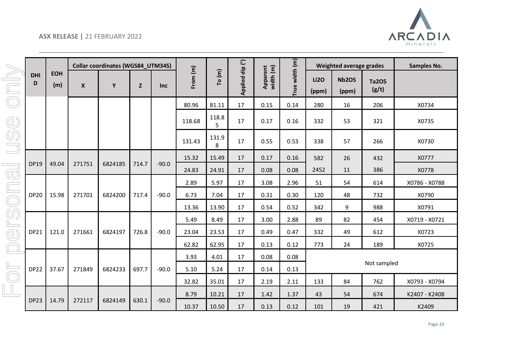

|                                               |                 |                   |                    | <b>Collar coordinates (WGS84_UTM34S)</b> |       |            |          |            |                 |                       |                |                      | Weighted average grades |                       | Samples No.   |
|-----------------------------------------------|-----------------|-------------------|--------------------|------------------------------------------|-------|------------|----------|------------|-----------------|-----------------------|----------------|----------------------|-------------------------|-----------------------|---------------|
| Jool                                          | <b>DHI</b><br>D | <b>EOH</b><br>(m) | $\pmb{\mathsf{X}}$ | Y                                        | Z     | <b>Inc</b> | From (m) | To (m)     | Applied dip (°) | Apparent<br>width (m) | True width (m) | <b>Li2O</b><br>(ppm) | <b>Nb2O5</b><br>(ppm)   | <b>Ta2O5</b><br>(g/t) |               |
|                                               |                 |                   |                    |                                          |       |            | 80.96    | 81.11      | 17              | 0.15                  | 0.14           | 280                  | 16                      | 206                   | X0734         |
| Œ                                             |                 |                   |                    |                                          |       |            | 118.68   | 118.8<br>5 | 17              | 0.17                  | 0.16           | 332                  | 53                      | 321                   | X0735         |
| ØQ                                            |                 |                   |                    |                                          |       |            | 131.43   | 131.9<br>8 | 17              | 0.55                  | 0.53           | 338                  | 57                      | 266                   | X0730         |
|                                               |                 |                   |                    |                                          |       |            | 15.32    | 15.49      | 17              | 0.17                  | 0.16           | 582                  | 26                      | 432                   | X0777         |
|                                               | DP19            | 49.04             | 271751             | 6824185                                  | 714.7 | $-90.0$    | 24.83    | 24.91      | 17              | 0.08                  | 0.08           | 2452                 | 11                      | 386                   | X0778         |
| ona                                           |                 |                   |                    |                                          |       |            | 2.89     | 5.97       | 17              | 3.08                  | 2.96           | 51                   | 54                      | 614                   | X0786 - X0788 |
|                                               | <b>DP20</b>     | 15.98             | 271701             | 6824200                                  | 717.4 | $-90.0$    | 6.73     | 7.04       | 17              | 0.31                  | 0.30           | 120                  | 48                      | 732                   | X0790         |
|                                               |                 |                   |                    |                                          |       |            | 13.36    | 13.90      | 17              | 0.54                  | 0.52           | 342                  | 9                       | 988                   | X0791         |
| S                                             |                 |                   |                    |                                          |       |            | 5.49     | 8.49       | 17              | 3.00                  | 2.88           | 89                   | 82                      | 454                   | X0719 - X0721 |
| <b>d</b>                                      | <b>DP21</b>     | 121.0             | 271661             | 6824197                                  | 726.8 | $-90.0$    | 23.04    | 23.53      | 17              | 0.49                  | 0.47           | 332                  | 49                      | 612                   | X0723         |
| $\left( \begin{array}{c} \end{array} \right)$ |                 |                   |                    |                                          |       |            | 62.82    | 62.95      | 17              | 0.13                  | 0.12           | 773                  | 24                      | 189                   | X0725         |
|                                               |                 |                   |                    |                                          |       |            | 3.93     | 4.01       | 17              | 0.08                  | 0.08           |                      |                         |                       |               |
|                                               | <b>DP22</b>     | 37.67             | 271849             | 6824233                                  | 697.7 | $-90.0$    | 5.10     | 5.24       | 17              | 0.14                  | 0.13           |                      |                         | Not sampled           |               |
|                                               |                 |                   |                    |                                          |       |            | 32.82    | 35.01      | 17              | 2.19                  | 2.11           | 133                  | 84                      | 762                   | X0793 - X0794 |
|                                               |                 |                   |                    |                                          |       |            | 8.79     | 10.21      | 17              | 1.42                  | 1.37           | 43                   | 54                      | 674                   | K2407 - K2408 |
|                                               | <b>DP23</b>     | 14.79             | 272117             | 6824149                                  | 630.1 | $-90.0$    | 10.37    | 10.50      | 17              | 0.13                  | 0.12           | 101                  | 19                      | 421                   | K2409         |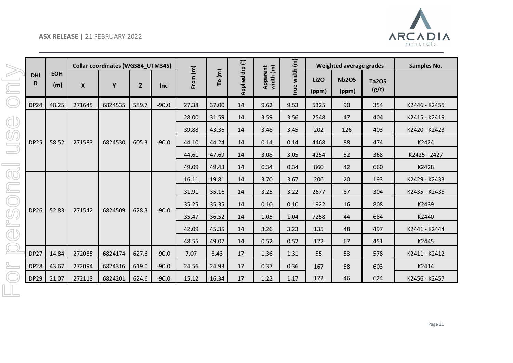

|            |                 |                   |                  | <b>Collar coordinates (WGS84_UTM34S)</b> |       |            |          |       |                 |                       |                |                      | Weighted average grades |                       | Samples No.   |
|------------|-----------------|-------------------|------------------|------------------------------------------|-------|------------|----------|-------|-----------------|-----------------------|----------------|----------------------|-------------------------|-----------------------|---------------|
|            | <b>DHI</b><br>D | <b>EOH</b><br>(m) | $\boldsymbol{X}$ | Y                                        | Z     | <b>Inc</b> | From (m) | To(m) | Applied dip (°) | Apparent<br>width (m) | True width (m) | <b>Li2O</b><br>(ppm) | <b>Nb2O5</b><br>(ppm)   | <b>Ta2O5</b><br>(g/t) |               |
|            | <b>DP24</b>     | 48.25             | 271645           | 6824535                                  | 589.7 | $-90.0$    | 27.38    | 37.00 | 14              | 9.62                  | 9.53           | 5325                 | 90                      | 354                   | K2446 - K2455 |
| ď          |                 |                   |                  |                                          |       |            | 28.00    | 31.59 | 14              | 3.59                  | 3.56           | 2548                 | 47                      | 404                   | K2415 - K2419 |
|            |                 |                   |                  |                                          |       |            | 39.88    | 43.36 | 14              | 3.48                  | 3.45           | 202                  | 126                     | 403                   | K2420 - K2423 |
| ØQ         | <b>DP25</b>     | 58.52             | 271583           | 6824530                                  | 605.3 | $-90.0$    | 44.10    | 44.24 | 14              | 0.14                  | 0.14           | 4468                 | 88                      | 474                   | K2424         |
|            |                 |                   |                  |                                          |       |            | 44.61    | 47.69 | 14              | 3.08                  | 3.05           | 4254                 | 52                      | 368                   | K2425 - 2427  |
|            |                 |                   |                  |                                          |       |            | 49.09    | 49.43 | 14              | 0.34                  | 0.34           | 860                  | 42                      | 660                   | K2428         |
| $\bigcirc$ |                 |                   |                  |                                          |       |            | 16.11    | 19.81 | 14              | 3.70                  | 3.67           | 206                  | 20                      | 193                   | K2429 - K2433 |
|            |                 |                   |                  |                                          |       |            | 31.91    | 35.16 | 14              | 3.25                  | 3.22           | 2677                 | 87                      | 304                   | K2435 - K2438 |
|            |                 |                   |                  |                                          |       |            | 35.25    | 35.35 | 14              | 0.10                  | 0.10           | 1922                 | 16                      | 808                   | K2439         |
| Ø          | <b>DP26</b>     | 52.83             | 271542           | 6824509                                  | 628.3 | $-90.0$    | 35.47    | 36.52 | 14              | 1.05                  | 1.04           | 7258                 | 44                      | 684                   | K2440         |
|            |                 |                   |                  |                                          |       |            | 42.09    | 45.35 | 14              | 3.26                  | 3.23           | 135                  | 48                      | 497                   | K2441 - K2444 |
| <b>ID</b>  |                 |                   |                  |                                          |       |            | 48.55    | 49.07 | 14              | 0.52                  | 0.52           | 122                  | 67                      | 451                   | K2445         |
|            | <b>DP27</b>     | 14.84             | 272085           | 6824174                                  | 627.6 | $-90.0$    | 7.07     | 8.43  | 17              | 1.36                  | 1.31           | 55                   | 53                      | 578                   | K2411 - K2412 |
|            | <b>DP28</b>     | 43.67             | 272094           | 6824316                                  | 619.0 | $-90.0$    | 24.56    | 24.93 | 17              | 0.37                  | 0.36           | 167                  | 58                      | 603                   | K2414         |
|            | <b>DP29</b>     | 21.07             | 272113           | 6824201                                  | 624.6 | $-90.0$    | 15.12    | 16.34 | 17              | 1.22                  | 1.17           | 122                  | 46                      | 624                   | K2456 - K2457 |
|            |                 |                   |                  |                                          |       |            |          |       |                 |                       |                |                      |                         |                       |               |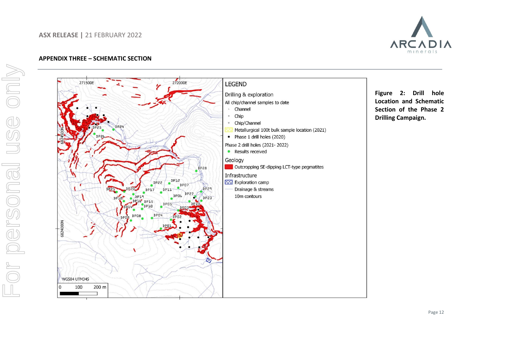### **ASX RELEASE |** 21 FEBRUARY 2022



#### **APPENDIX THREE – SCHEMATIC SECTION**

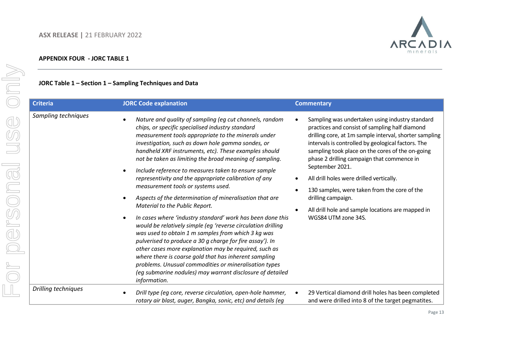

## **JORC Table 1 – Section 1 – Sampling Techniques and Data**

| <b>Criteria</b>     | <b>JORC Code explanation</b>                                                                                                                                                                                                                                                                                                                                                                                                                                                                                                                                                                                                                                                                                                                                                                                                                                                                                                                                                                                                                                                                            | <b>Commentary</b>                                                                                                                                                                                                                                                                                                                                                                                                                                                                                                                    |
|---------------------|---------------------------------------------------------------------------------------------------------------------------------------------------------------------------------------------------------------------------------------------------------------------------------------------------------------------------------------------------------------------------------------------------------------------------------------------------------------------------------------------------------------------------------------------------------------------------------------------------------------------------------------------------------------------------------------------------------------------------------------------------------------------------------------------------------------------------------------------------------------------------------------------------------------------------------------------------------------------------------------------------------------------------------------------------------------------------------------------------------|--------------------------------------------------------------------------------------------------------------------------------------------------------------------------------------------------------------------------------------------------------------------------------------------------------------------------------------------------------------------------------------------------------------------------------------------------------------------------------------------------------------------------------------|
| Sampling techniques | Nature and quality of sampling (eg cut channels, random<br>chips, or specific specialised industry standard<br>measurement tools appropriate to the minerals under<br>investigation, such as down hole gamma sondes, or<br>handheld XRF instruments, etc). These examples should<br>not be taken as limiting the broad meaning of sampling.<br>Include reference to measures taken to ensure sample<br>representivity and the appropriate calibration of any<br>measurement tools or systems used.<br>Aspects of the determination of mineralisation that are<br>Material to the Public Report.<br>In cases where 'industry standard' work has been done this<br>would be relatively simple (eg 'reverse circulation drilling<br>was used to obtain 1 m samples from which 3 kg was<br>pulverised to produce a 30 g charge for fire assay'). In<br>other cases more explanation may be required, such as<br>where there is coarse gold that has inherent sampling<br>problems. Unusual commodities or mineralisation types<br>(eg submarine nodules) may warrant disclosure of detailed<br>information. | Sampling was undertaken using industry standard<br>practices and consist of sampling half diamond<br>drilling core, at 1m sample interval, shorter sampling<br>intervals is controlled by geological factors. The<br>sampling took place on the cores of the on-going<br>phase 2 drilling campaign that commence in<br>September 2021.<br>All drill holes were drilled vertically.<br>130 samples, were taken from the core of the<br>drilling campaign.<br>All drill hole and sample locations are mapped in<br>WGS84 UTM zone 34S. |
| Drilling techniques | Drill type (eg core, reverse circulation, open-hole hammer,<br>rotary air blast, auger, Bangka, sonic, etc) and details (eg                                                                                                                                                                                                                                                                                                                                                                                                                                                                                                                                                                                                                                                                                                                                                                                                                                                                                                                                                                             | 29 Vertical diamond drill holes has been completed<br>and were drilled into 8 of the target pegmatites.                                                                                                                                                                                                                                                                                                                                                                                                                              |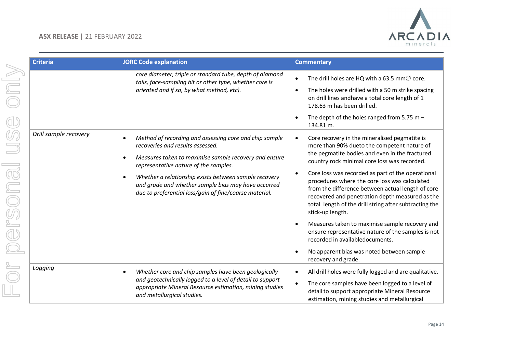

|         | <b>Criteria</b>       | <b>JORC Code explanation</b>                                                                                                                                           | <b>Commentary</b>                                                                                                                                                                                                                                                                        |
|---------|-----------------------|------------------------------------------------------------------------------------------------------------------------------------------------------------------------|------------------------------------------------------------------------------------------------------------------------------------------------------------------------------------------------------------------------------------------------------------------------------------------|
|         |                       | core diameter, triple or standard tube, depth of diamond<br>tails, face-sampling bit or other type, whether core is                                                    | The drill holes are HQ with a 63.5 mm $\varnothing$ core.                                                                                                                                                                                                                                |
|         |                       | oriented and if so, by what method, etc).                                                                                                                              | The holes were drilled with a 50 m strike spacing<br>on drill lines andhave a total core length of 1<br>178.63 m has been drilled.                                                                                                                                                       |
| C       |                       |                                                                                                                                                                        | The depth of the holes ranged from 5.75 m $-$<br>134.81 m.                                                                                                                                                                                                                               |
|         | Drill sample recovery | Method of recording and assessing core and chip sample<br>recoveries and results assessed.                                                                             | Core recovery in the mineralised pegmatite is<br>more than 90% dueto the competent nature of                                                                                                                                                                                             |
|         |                       | Measures taken to maximise sample recovery and ensure<br>representative nature of the samples.                                                                         | the pegmatite bodies and even in the fractured<br>country rock minimal core loss was recorded.                                                                                                                                                                                           |
| ersonal |                       | Whether a relationship exists between sample recovery<br>and grade and whether sample bias may have occurred<br>due to preferential loss/gain of fine/coarse material. | Core loss was recorded as part of the operational<br>procedures where the core loss was calculated<br>from the difference between actual length of core<br>recovered and penetration depth measured as the<br>total length of the drill string after subtracting the<br>stick-up length. |
|         |                       |                                                                                                                                                                        | Measures taken to maximise sample recovery and<br>ensure representative nature of the samples is not<br>recorded in availabledocuments.                                                                                                                                                  |
|         |                       |                                                                                                                                                                        | No apparent bias was noted between sample<br>recovery and grade.                                                                                                                                                                                                                         |
|         | Logging               | Whether core and chip samples have been geologically                                                                                                                   | All drill holes were fully logged and are qualitative.                                                                                                                                                                                                                                   |
|         |                       | and geotechnically logged to a level of detail to support<br>appropriate Mineral Resource estimation, mining studies<br>and metallurgical studies.                     | The core samples have been logged to a level of<br>detail to support appropriate Mineral Resource<br>estimation, mining studies and metallurgical                                                                                                                                        |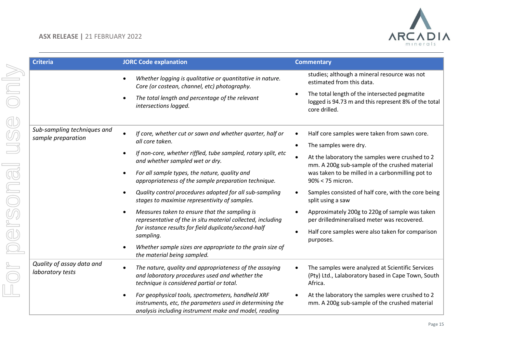

| <b>Criteria</b>                                   | <b>JORC Code explanation</b>                                                                                                                                            | <b>Commentary</b>                                                                                                           |
|---------------------------------------------------|-------------------------------------------------------------------------------------------------------------------------------------------------------------------------|-----------------------------------------------------------------------------------------------------------------------------|
|                                                   | Whether logging is qualitative or quantitative in nature.<br>Core (or costean, channel, etc) photography.                                                               | studies; although a mineral resource was not<br>estimated from this data.                                                   |
|                                                   | The total length and percentage of the relevant<br>intersections logged.                                                                                                | The total length of the intersected pegmatite<br>٠<br>logged is 94.73 m and this represent 8% of the total<br>core drilled. |
| Sub-sampling techniques and<br>sample preparation | If core, whether cut or sawn and whether quarter, half or<br>all core taken.                                                                                            | Half core samples were taken from sawn core.<br>$\bullet$                                                                   |
|                                                   |                                                                                                                                                                         | The samples were dry.<br>$\bullet$                                                                                          |
|                                                   | If non-core, whether riffled, tube sampled, rotary split, etc<br>and whether sampled wet or dry.                                                                        | At the laboratory the samples were crushed to 2<br>$\bullet$<br>mm. A 200g sub-sample of the crushed material               |
|                                                   | For all sample types, the nature, quality and<br>appropriateness of the sample preparation technique.                                                                   | was taken to be milled in a carbonmilling pot to<br>90% < 75 micron.                                                        |
|                                                   | Quality control procedures adopted for all sub-sampling<br>stages to maximise representivity of samples.                                                                | Samples consisted of half core, with the core being<br>$\bullet$<br>split using a saw                                       |
|                                                   | Measures taken to ensure that the sampling is<br>representative of the in situ material collected, including                                                            | Approximately 200g to 220g of sample was taken<br>$\bullet$<br>per drilledmineralised meter was recovered.                  |
|                                                   | for instance results for field duplicate/second-half<br>sampling.                                                                                                       | Half core samples were also taken for comparison<br>$\bullet$<br>purposes.                                                  |
|                                                   | Whether sample sizes are appropriate to the grain size of<br>the material being sampled.                                                                                |                                                                                                                             |
| Quality of assay data and<br>laboratory tests     | The nature, quality and appropriateness of the assaying<br>and laboratory procedures used and whether the<br>technique is considered partial or total.                  | The samples were analyzed at Scientific Services<br>(Pty) Ltd., Lalaboratory based in Cape Town, South<br>Africa.           |
|                                                   | For geophysical tools, spectrometers, handheld XRF<br>instruments, etc, the parameters used in determining the<br>analysis including instrument make and model, reading | At the laboratory the samples were crushed to 2<br>$\bullet$<br>mm. A 200g sub-sample of the crushed material               |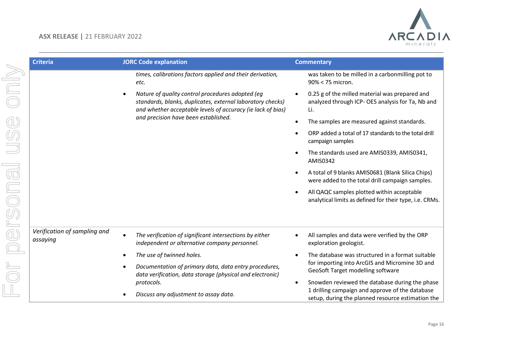

| <b>Criteria</b>                          | <b>JORC Code explanation</b>                                                                                                                                                  | <b>Commentary</b>                                                                                                                                           |
|------------------------------------------|-------------------------------------------------------------------------------------------------------------------------------------------------------------------------------|-------------------------------------------------------------------------------------------------------------------------------------------------------------|
|                                          | times, calibrations factors applied and their derivation,<br>etc.                                                                                                             | was taken to be milled in a carbonmilling pot to<br>$90\% < 75$ micron.                                                                                     |
|                                          | Nature of quality control procedures adopted (eg<br>standards, blanks, duplicates, external laboratory checks)<br>and whether acceptable levels of accuracy (ie lack of bias) | 0.25 g of the milled material was prepared and<br>analyzed through ICP- OES analysis for Ta, Nb and<br>Li.                                                  |
|                                          | and precision have been established.                                                                                                                                          | The samples are measured against standards.<br>$\bullet$                                                                                                    |
|                                          |                                                                                                                                                                               | ORP added a total of 17 standards to the total drill<br>campaign samples                                                                                    |
|                                          |                                                                                                                                                                               | The standards used are AMIS0339, AMIS0341,<br>AMIS0342                                                                                                      |
|                                          |                                                                                                                                                                               | A total of 9 blanks AMIS0681 (Blank Silica Chips)<br>were added to the total drill campaign samples.                                                        |
|                                          |                                                                                                                                                                               | All QAQC samples plotted within acceptable<br>$\bullet$<br>analytical limits as defined for their type, i.e. CRMs.                                          |
| Verification of sampling and<br>assaying | The verification of significant intersections by either<br>independent or alternative company personnel.                                                                      | All samples and data were verified by the ORP<br>$\bullet$<br>exploration geologist.                                                                        |
|                                          | The use of twinned holes.                                                                                                                                                     | The database was structured in a format suitable<br>$\bullet$                                                                                               |
|                                          | Documentation of primary data, data entry procedures,<br>data verification, data storage (physical and electronic)                                                            | for importing into ArcGIS and Micromine 3D and<br>GeoSoft Target modelling software                                                                         |
|                                          | protocols.<br>Discuss any adjustment to assay data.                                                                                                                           | Snowden reviewed the database during the phase<br>٠<br>1 drilling campaign and approve of the database<br>setup, during the planned resource estimation the |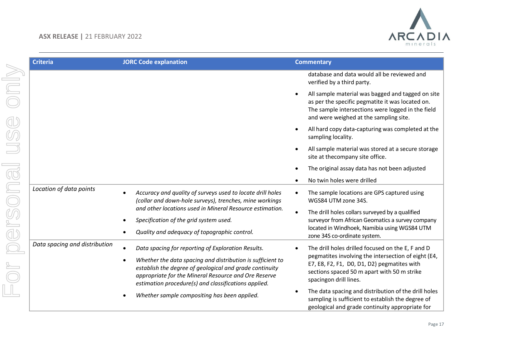

| <b>Criteria</b>               | <b>JORC Code explanation</b>                                                                                                                                                                                                          | <b>Commentary</b>                                                                                                                                                                                                 |
|-------------------------------|---------------------------------------------------------------------------------------------------------------------------------------------------------------------------------------------------------------------------------------|-------------------------------------------------------------------------------------------------------------------------------------------------------------------------------------------------------------------|
|                               |                                                                                                                                                                                                                                       | database and data would all be reviewed and<br>verified by a third party.                                                                                                                                         |
|                               |                                                                                                                                                                                                                                       | All sample material was bagged and tagged on site<br>$\bullet$<br>as per the specific pegmatite it was located on.<br>The sample intersections were logged in the field<br>and were weighed at the sampling site. |
|                               |                                                                                                                                                                                                                                       | All hard copy data-capturing was completed at the<br>sampling locality.                                                                                                                                           |
|                               |                                                                                                                                                                                                                                       | All sample material was stored at a secure storage<br>$\bullet$<br>site at thecompany site office.                                                                                                                |
|                               |                                                                                                                                                                                                                                       | The original assay data has not been adjusted                                                                                                                                                                     |
|                               |                                                                                                                                                                                                                                       | No twin holes were drilled                                                                                                                                                                                        |
| Location of data points       | Accuracy and quality of surveys used to locate drill holes<br>(collar and down-hole surveys), trenches, mine workings                                                                                                                 | The sample locations are GPS captured using<br>$\bullet$<br>WGS84 UTM zone 34S.                                                                                                                                   |
|                               | and other locations used in Mineral Resource estimation.<br>Specification of the grid system used.                                                                                                                                    | The drill holes collars surveyed by a qualified<br>$\bullet$<br>surveyor from African Geomatics a survey company                                                                                                  |
|                               | Quality and adequacy of topographic control.                                                                                                                                                                                          | located in Windhoek, Namibia using WGS84 UTM<br>zone 34S co-ordinate system.                                                                                                                                      |
| Data spacing and distribution | Data spacing for reporting of Exploration Results.                                                                                                                                                                                    | The drill holes drilled focused on the E, F and D<br>$\bullet$                                                                                                                                                    |
|                               | Whether the data spacing and distribution is sufficient to<br>establish the degree of geological and grade continuity<br>appropriate for the Mineral Resource and Ore Reserve<br>estimation procedure(s) and classifications applied. | pegmatites involving the intersection of eight (E4,<br>E7, E8, F2, F1, D0, D1, D2) pegmatites with<br>sections spaced 50 m apart with 50 m strike<br>spacingon drill lines.                                       |
|                               | Whether sample compositing has been applied.                                                                                                                                                                                          | The data spacing and distribution of the drill holes<br>$\bullet$<br>sampling is sufficient to establish the degree of<br>geological and grade continuity appropriate for                                         |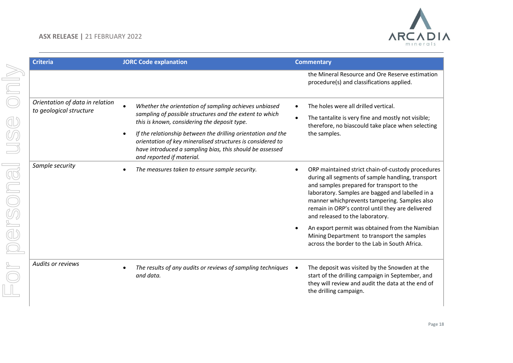

| <b>Criteria</b>                                            | <b>JORC Code explanation</b>                                                                                                                                                                                        | <b>Commentary</b>                                                                                                                                                                                                                                                                                                                                                                                                                                                                                             |
|------------------------------------------------------------|---------------------------------------------------------------------------------------------------------------------------------------------------------------------------------------------------------------------|---------------------------------------------------------------------------------------------------------------------------------------------------------------------------------------------------------------------------------------------------------------------------------------------------------------------------------------------------------------------------------------------------------------------------------------------------------------------------------------------------------------|
|                                                            |                                                                                                                                                                                                                     | the Mineral Resource and Ore Reserve estimation<br>procedure(s) and classifications applied.                                                                                                                                                                                                                                                                                                                                                                                                                  |
| Orientation of data in relation<br>to geological structure | Whether the orientation of sampling achieves unbiased<br>sampling of possible structures and the extent to which<br>this is known, considering the deposit type.                                                    | The holes were all drilled vertical.<br>$\bullet$<br>The tantalite is very fine and mostly not visible;<br>$\bullet$<br>therefore, no biascould take place when selecting                                                                                                                                                                                                                                                                                                                                     |
|                                                            | If the relationship between the drilling orientation and the<br>orientation of key mineralised structures is considered to<br>have introduced a sampling bias, this should be assessed<br>and reported if material. | the samples.                                                                                                                                                                                                                                                                                                                                                                                                                                                                                                  |
| Sample security                                            | The measures taken to ensure sample security.                                                                                                                                                                       | ORP maintained strict chain-of-custody procedures<br>$\bullet$<br>during all segments of sample handling, transport<br>and samples prepared for transport to the<br>laboratory. Samples are bagged and labelled in a<br>manner whichprevents tampering. Samples also<br>remain in ORP's control until they are delivered<br>and released to the laboratory.<br>An export permit was obtained from the Namibian<br>Mining Department to transport the samples<br>across the border to the Lab in South Africa. |
| Audits or reviews                                          | The results of any audits or reviews of sampling techniques<br>and data.                                                                                                                                            | The deposit was visited by the Snowden at the<br>start of the drilling campaign in September, and<br>they will review and audit the data at the end of<br>the drilling campaign.                                                                                                                                                                                                                                                                                                                              |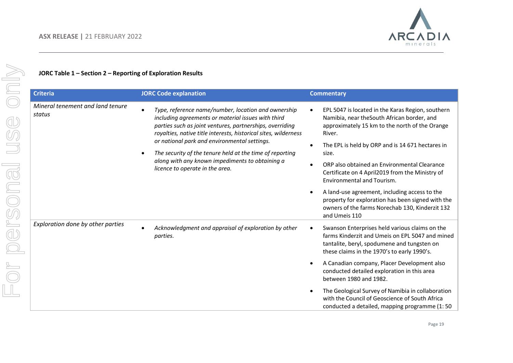

# **JORC Table 1 – Section 2 – Reporting of Exploration Results**

| <b>Criteria</b>                            | <b>JORC Code explanation</b>                                                                                                                                                                                                                                                                                                                                                                                                               | <b>Commentary</b>                                                                                                                                                                                                                                                                                                                                                                                                                                                       |
|--------------------------------------------|--------------------------------------------------------------------------------------------------------------------------------------------------------------------------------------------------------------------------------------------------------------------------------------------------------------------------------------------------------------------------------------------------------------------------------------------|-------------------------------------------------------------------------------------------------------------------------------------------------------------------------------------------------------------------------------------------------------------------------------------------------------------------------------------------------------------------------------------------------------------------------------------------------------------------------|
| Mineral tenement and land tenure<br>status | Type, reference name/number, location and ownership<br>including agreements or material issues with third<br>parties such as joint ventures, partnerships, overriding<br>royalties, native title interests, historical sites, wilderness<br>or national park and environmental settings.<br>The security of the tenure held at the time of reporting<br>along with any known impediments to obtaining a<br>licence to operate in the area. | EPL 5047 is located in the Karas Region, southern<br>Namibia, near the South African border, and<br>approximately 15 km to the north of the Orange<br>River.<br>The EPL is held by ORP and is 14 671 hectares in<br>size.<br>ORP also obtained an Environmental Clearance<br>Certificate on 4 April2019 from the Ministry of<br><b>Environmental and Tourism.</b><br>A land-use agreement, including access to the<br>property for exploration has been signed with the |
|                                            |                                                                                                                                                                                                                                                                                                                                                                                                                                            | owners of the farms Norechab 130, Kinderzit 132<br>and Umeis 110                                                                                                                                                                                                                                                                                                                                                                                                        |
| Exploration done by other parties          | Acknowledgment and appraisal of exploration by other<br>parties.                                                                                                                                                                                                                                                                                                                                                                           | Swanson Enterprises held various claims on the<br>farms Kinderzit and Umeis on EPL 5047 and mined<br>tantalite, beryl, spodumene and tungsten on<br>these claims in the 1970's to early 1990's.                                                                                                                                                                                                                                                                         |
|                                            |                                                                                                                                                                                                                                                                                                                                                                                                                                            | A Canadian company, Placer Development also<br>conducted detailed exploration in this area<br>between 1980 and 1982.                                                                                                                                                                                                                                                                                                                                                    |
|                                            |                                                                                                                                                                                                                                                                                                                                                                                                                                            | The Geological Survey of Namibia in collaboration<br>with the Council of Geoscience of South Africa<br>conducted a detailed, mapping programme (1:50                                                                                                                                                                                                                                                                                                                    |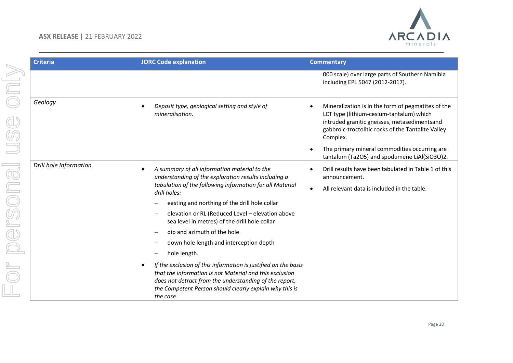

| <b>Criteria</b>                                                                                                                                                                                                                                                                                                                     | <b>JORC Code explanation</b>                                                                                                                                                     | <b>Commentary</b>                                                                                                                                                                                                |
|-------------------------------------------------------------------------------------------------------------------------------------------------------------------------------------------------------------------------------------------------------------------------------------------------------------------------------------|----------------------------------------------------------------------------------------------------------------------------------------------------------------------------------|------------------------------------------------------------------------------------------------------------------------------------------------------------------------------------------------------------------|
|                                                                                                                                                                                                                                                                                                                                     |                                                                                                                                                                                  | 000 scale) over large parts of Southern Namibia<br>including EPL 5047 (2012-2017).                                                                                                                               |
| Geology                                                                                                                                                                                                                                                                                                                             | Deposit type, geological setting and style of<br>mineralisation.                                                                                                                 | Mineralization is in the form of pegmatites of the<br>LCT type (lithium-cesium-tantalum) which<br>intruded granitic gneisses, metasedimentsand<br>gabbroic-troctolitic rocks of the Tantalite Valley<br>Complex. |
|                                                                                                                                                                                                                                                                                                                                     |                                                                                                                                                                                  | The primary mineral commodities occurring are<br>tantalum (Ta2O5) and spodumene LiAl(SiO3O)2.                                                                                                                    |
| Drill hole Information                                                                                                                                                                                                                                                                                                              | A summary of all information material to the<br>understanding of the exploration results including a<br>tabulation of the following information for all Material<br>drill holes: | Drill results have been tabulated in Table 1 of this<br>announcement.<br>All relevant data is included in the table.                                                                                             |
|                                                                                                                                                                                                                                                                                                                                     | easting and northing of the drill hole collar                                                                                                                                    |                                                                                                                                                                                                                  |
|                                                                                                                                                                                                                                                                                                                                     | elevation or RL (Reduced Level - elevation above<br>sea level in metres) of the drill hole collar                                                                                |                                                                                                                                                                                                                  |
|                                                                                                                                                                                                                                                                                                                                     | dip and azimuth of the hole                                                                                                                                                      |                                                                                                                                                                                                                  |
| down hole length and interception depth<br>hole length.<br>If the exclusion of this information is justified on the basis<br>$\bullet$<br>that the information is not Material and this exclusion<br>does not detract from the understanding of the report,<br>the Competent Person should clearly explain why this is<br>the case. |                                                                                                                                                                                  |                                                                                                                                                                                                                  |
|                                                                                                                                                                                                                                                                                                                                     |                                                                                                                                                                                  |                                                                                                                                                                                                                  |
|                                                                                                                                                                                                                                                                                                                                     |                                                                                                                                                                                  |                                                                                                                                                                                                                  |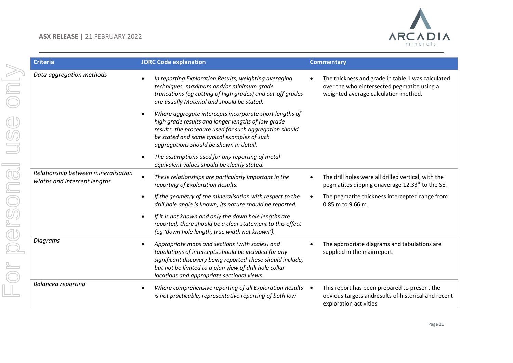

| <b>Criteria</b>                                                     | <b>JORC Code explanation</b>                                                                                                                                                                                                                                                  | <b>Commentary</b>                                                                                                                        |
|---------------------------------------------------------------------|-------------------------------------------------------------------------------------------------------------------------------------------------------------------------------------------------------------------------------------------------------------------------------|------------------------------------------------------------------------------------------------------------------------------------------|
| Data aggregation methods                                            | In reporting Exploration Results, weighting averaging<br>techniques, maximum and/or minimum grade<br>truncations (eg cutting of high grades) and cut-off grades<br>are usually Material and should be stated.                                                                 | The thickness and grade in table 1 was calculated<br>over the wholeintersected pegmatite using a<br>weighted average calculation method. |
|                                                                     | Where aggregate intercepts incorporate short lengths of<br>high grade results and longer lengths of low grade<br>results, the procedure used for such aggregation should<br>be stated and some typical examples of such<br>aggregations should be shown in detail.            |                                                                                                                                          |
|                                                                     | The assumptions used for any reporting of metal<br>equivalent values should be clearly stated.                                                                                                                                                                                |                                                                                                                                          |
| Relationship between mineralisation<br>widths and intercept lengths | These relationships are particularly important in the<br>reporting of Exploration Results.                                                                                                                                                                                    | The drill holes were all drilled vertical, with the<br>pegmatites dipping onaverage 12.33 <sup>0</sup> to the SE.                        |
|                                                                     | If the geometry of the mineralisation with respect to the<br>drill hole angle is known, its nature should be reported.                                                                                                                                                        | The pegmatite thickness intercepted range from<br>0.85 m to 9.66 m.                                                                      |
|                                                                     | If it is not known and only the down hole lengths are<br>reported, there should be a clear statement to this effect<br>(eg 'down hole length, true width not known').                                                                                                         |                                                                                                                                          |
| <b>Diagrams</b>                                                     | Appropriate maps and sections (with scales) and<br>tabulations of intercepts should be included for any<br>significant discovery being reported These should include,<br>but not be limited to a plan view of drill hole collar<br>locations and appropriate sectional views. | The appropriate diagrams and tabulations are<br>supplied in the mainreport.                                                              |
| <b>Balanced reporting</b>                                           | Where comprehensive reporting of all Exploration Results<br>is not practicable, representative reporting of both low                                                                                                                                                          | This report has been prepared to present the<br>obvious targets andresults of historical and recent<br>exploration activities            |